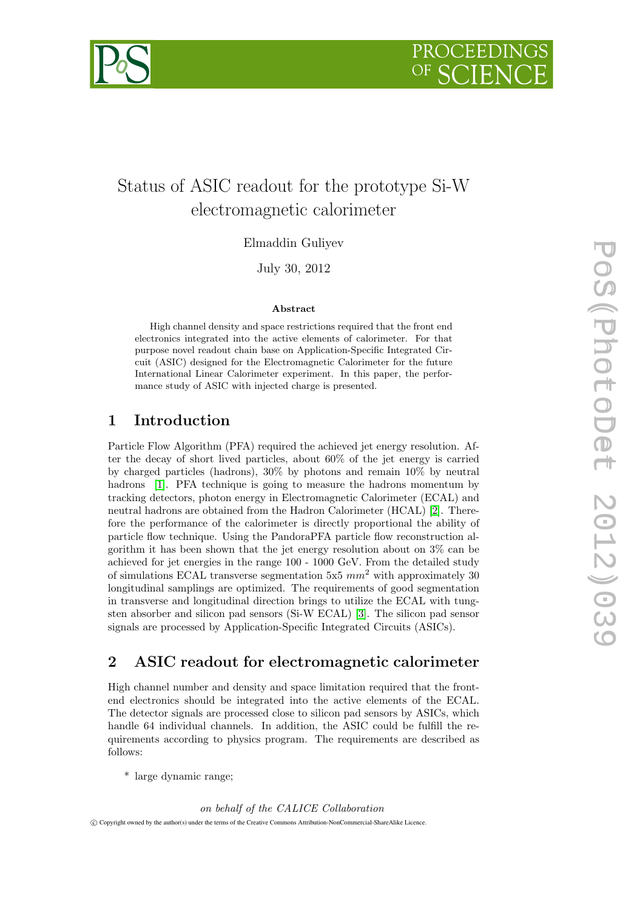



# electromagnetic calorimeter

Elmaddin Guliyev

July 30, 2012

#### Abstract

High channel density and space restrictions required that the front end electronics integrated into the active elements of calorimeter. For that purpose novel readout chain base on Application-Specific Integrated Circuit (ASIC) designed for the Electromagnetic Calorimeter for the future International Linear Calorimeter experiment. In this paper, the performance study of ASIC with injected charge is presented.

#### 1 Introduction

Status of ASIC readout for the prototype Si-W<br>
electromagnetic calorimeter<br>
Elmaddin Guliyev<br>
July 30, 2012<br>
July 30, 2012<br>
July 30, 2012<br>
High channel density and space retrictions required that the front and<br>
pures now Particle Flow Algorithm (PFA) required the achieved jet energy resolution. After the decay of short lived particles, about 60% of the jet energy is carried by charged particles (hadrons), 30% by photons and remain 10% by neutral hadrons [1]. PFA technique is going to measure the hadrons momentum by tracking detectors, photon energy in Electromagnetic Calorimeter (ECAL) and neutral hadrons are obtained from the Hadron Calorimeter (HCAL) [2]. Therefore the performance of the calorimeter is directly proportional the ability of particle flow technique. Using the PandoraPFA particle flow reconstruction algorithm it has been shown that the jet energy resolution about on 3% can be achieved for jet energies in the range 100 - 1000 GeV. From the detailed study of simulations ECAL transverse segmentation 5x5  $mm^2$  with approximately 30 longitudinal samplings are optimized. The requirements of good segmentation in transverse and longitudinal direction brings to utilize the ECAL with tungsten absorber and silicon pad sensors (Si-W ECAL) [3]. The silicon pad sensor signals are processed by Application-Specific Integrated Circuits (ASICs).

## 2 ASIC readout for electromagnetic calorimeter

High channel number and density and space limitation required that the frontend electronics should be integrated into the active elements of the ECAL. The detector signals are processed close to silicon pad sensors by ASICs, which handle 64 individual channels. In addition, the ASIC could be fulfill the requirements according to physics program. The requirements are described as follows:

\* large dynamic range;

on behalf of the CALICE Collaboration

c Copyright owned by the author(s) under the terms of the Creative Commons Attribution-NonCommercial-ShareAlike Licence.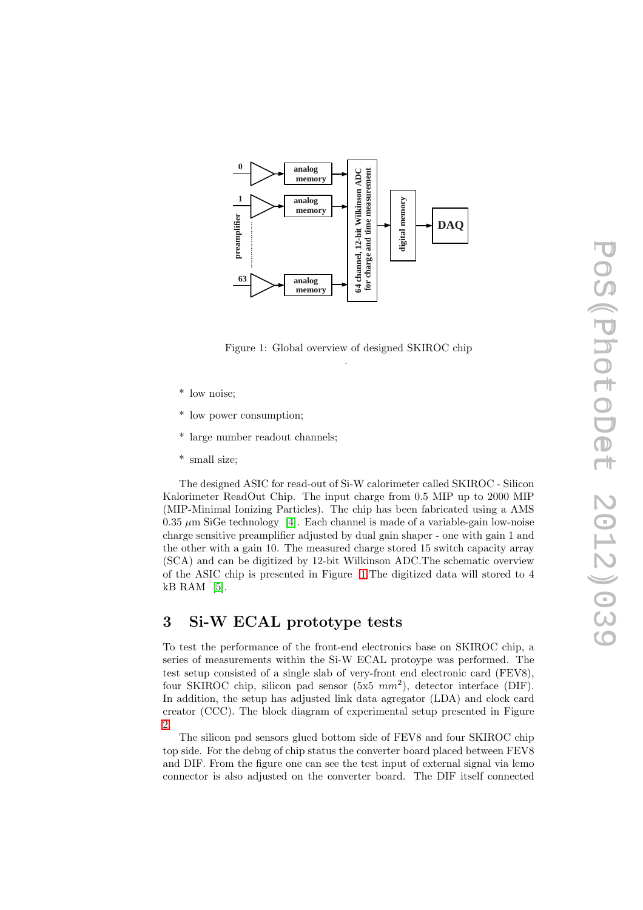<span id="page-1-0"></span>

Figure 1: Global overview of designed SKIROC chip .

- \* low noise;
- \* low power consumption;
- \* large number readout channels;
- \* small size;

The designed ASIC for read-out of Si-W calorimeter called SKIROC - Silicon Kalorimeter ReadOut Chip. The input charge from 0.5 MIP up to 2000 MIP (MIP-Minimal Ionizing Particles). The chip has been fabricated using a AMS  $0.35 \mu m$  SiGe technology [\[4\]](#page-4-0). Each channel is made of a variable-gain low-noise charge sensitive preamplifier adjusted by dual gain shaper - one with gain 1 and the other with a gain 10. The measured charge stored 15 switch capacity array (SCA) and can be digitized by 12-bit Wilkinson ADC.The schematic overview of the ASIC chip is presented in Figure [1.](#page-1-0)The digitized data will stored to 4 kB RAM [\[5\]](#page-4-1).

### 3 Si-W ECAL prototype tests

To test the performance of the front-end electronics base on SKIROC chip, a series of measurements within the Si-W ECAL protoype was performed. The test setup consisted of a single slab of very-front end electronic card (FEV8), four SKIROC chip, silicon pad sensor  $(5x5 \, mm^2)$ , detector interface (DIF). In addition, the setup has adjusted link data agregator (LDA) and clock card creator (CCC). The block diagram of experimental setup presented in Figure [2.](#page-2-0)

The silicon pad sensors glued bottom side of FEV8 and four SKIROC chip top side. For the debug of chip status the converter board placed between FEV8 and DIF. From the figure one can see the test input of external signal via lemo connector is also adjusted on the converter board. The DIF itself connected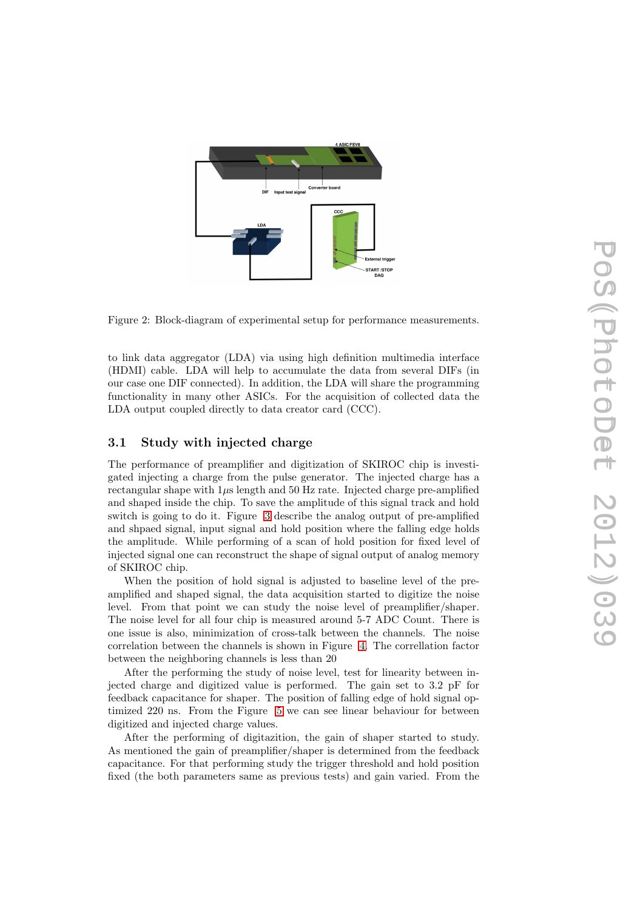<span id="page-2-0"></span>

Figure 2: Block-diagram of experimental setup for performance measurements.

to link data aggregator (LDA) via using high definition multimedia interface (HDMI) cable. LDA will help to accumulate the data from several DIFs (in our case one DIF connected). In addition, the LDA will share the programming functionality in many other ASICs. For the acquisition of collected data the LDA output coupled directly to data creator card (CCC).

#### 3.1 Study with injected charge

The performance of preamplifier and digitization of SKIROC chip is investigated injecting a charge from the pulse generator. The injected charge has a rectangular shape with  $1\mu s$  length and 50 Hz rate. Injected charge pre-amplified and shaped inside the chip. To save the amplitude of this signal track and hold switch is going to do it. Figure [3](#page-3-0) describe the analog output of pre-amplified and shpaed signal, input signal and hold position where the falling edge holds the amplitude. While performing of a scan of hold position for fixed level of injected signal one can reconstruct the shape of signal output of analog memory of SKIROC chip.

When the position of hold signal is adjusted to baseline level of the preamplified and shaped signal, the data acquisition started to digitize the noise level. From that point we can study the noise level of preamplifier/shaper. The noise level for all four chip is measured around 5-7 ADC Count. There is one issue is also, minimization of cross-talk between the channels. The noise correlation between the channels is shown in Figure [4.](#page-3-1) The correllation factor between the neighboring channels is less than 20

After the performing the study of noise level, test for linearity between injected charge and digitized value is performed. The gain set to 3.2 pF for feedback capacitance for shaper. The position of falling edge of hold signal optimized 220 ns. From the Figure [5](#page-4-2) we can see linear behaviour for between digitized and injected charge values.

After the performing of digitazition, the gain of shaper started to study. As mentioned the gain of preamplifier/shaper is determined from the feedback capacitance. For that performing study the trigger threshold and hold position fixed (the both parameters same as previous tests) and gain varied. From the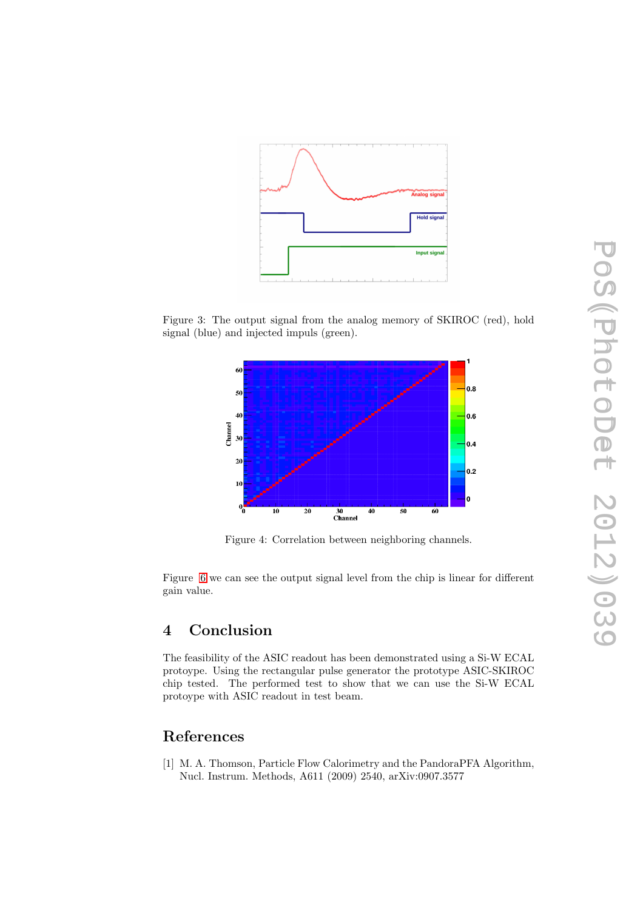<span id="page-3-0"></span>

<span id="page-3-1"></span>Figure 3: The output signal from the analog memory of SKIROC (red), hold signal (blue) and injected impuls (green).



Figure 4: Correlation between neighboring channels.

Figure [6](#page-4-3) we can see the output signal level from the chip is linear for different gain value.

#### 4 Conclusion

The feasibility of the ASIC readout has been demonstrated using a Si-W ECAL protoype. Using the rectangular pulse generator the prototype ASIC-SKIROC chip tested. The performed test to show that we can use the Si-W ECAL protoype with ASIC readout in test beam.

#### References

[1] M. A. Thomson, Particle Flow Calorimetry and the PandoraPFA Algorithm, Nucl. Instrum. Methods, A611 (2009) 2540, arXiv:0907.3577